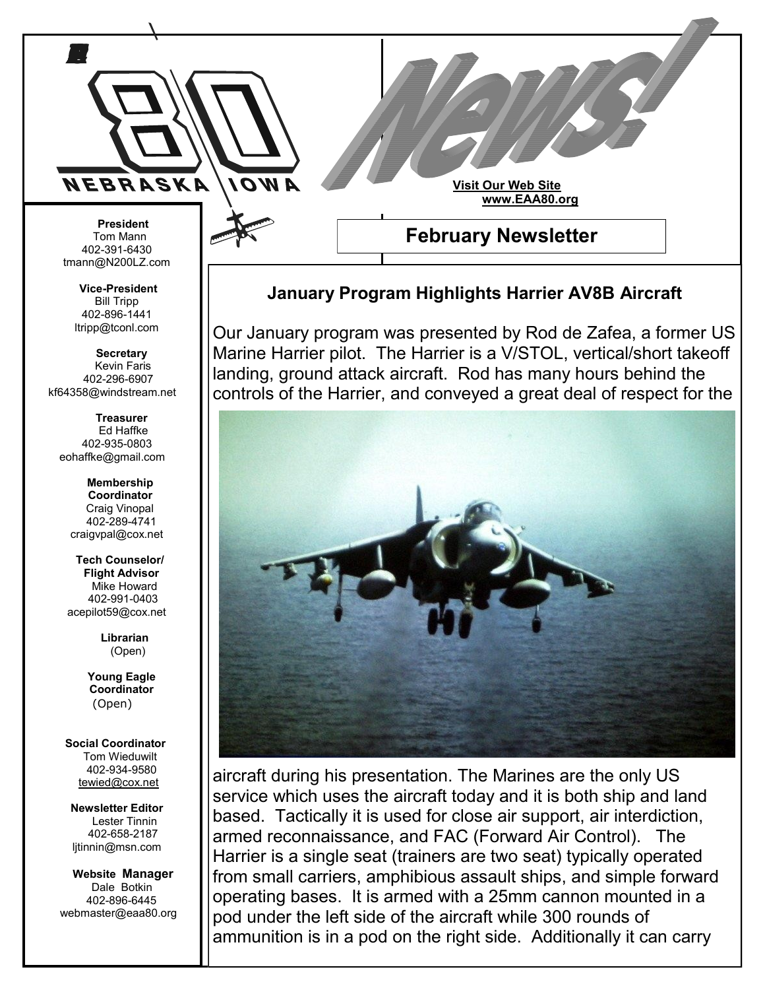

## **January Program Highlights Harrier AV8B Aircraft**

Our January program was presented by Rod de Zafea, a former US Marine Harrier pilot. The Harrier is a V/STOL, vertical/short takeoff landing, ground attack aircraft. Rod has many hours behind the controls of the Harrier, and conveyed a great deal of respect for the



aircraft during his presentation. The Marines are the only US service which uses the aircraft today and it is both ship and land based. Tactically it is used for close air support, air interdiction, armed reconnaissance, and FAC (Forward Air Control). The Harrier is a single seat (trainers are two seat) typically operated from small carriers, amphibious assault ships, and simple forward operating bases. It is armed with a 25mm cannon mounted in a pod under the left side of the aircraft while 300 rounds of ammunition is in a pod on the right side. Additionally it can carry

402-391-6430 tmann@N200LZ.com

**Vice-President** Bill Tripp 402-896-1441 ltripp@tconl.com

 **Secretary** Kevin Faris 402-296-6907 kf64358@windstream.net

 **Treasurer** Ed Haffke 402-935-0803 eohaffke@gmail.com

> **Membership Coordinator** Craig Vinopal 402-289-4741 craigvpal@cox.net

 **Tech Counselor/ Flight Advisor** Mike Howard 402-991-0403 acepilot59@cox.net

> **Librarian** (Open)

 **Young Eagle Coordinator** (Open)

 **Social Coordinator** Tom Wieduwilt 402-934-9580 [tewied@cox.net](javascript:parent.wgMail.openComposeWindow()

**Newsletter Editor** Lester Tinnin 402-658-2187 ljtinnin@msn.com

 **Website Manager** Dale Botkin 402-896-6445 webmaster@eaa80.org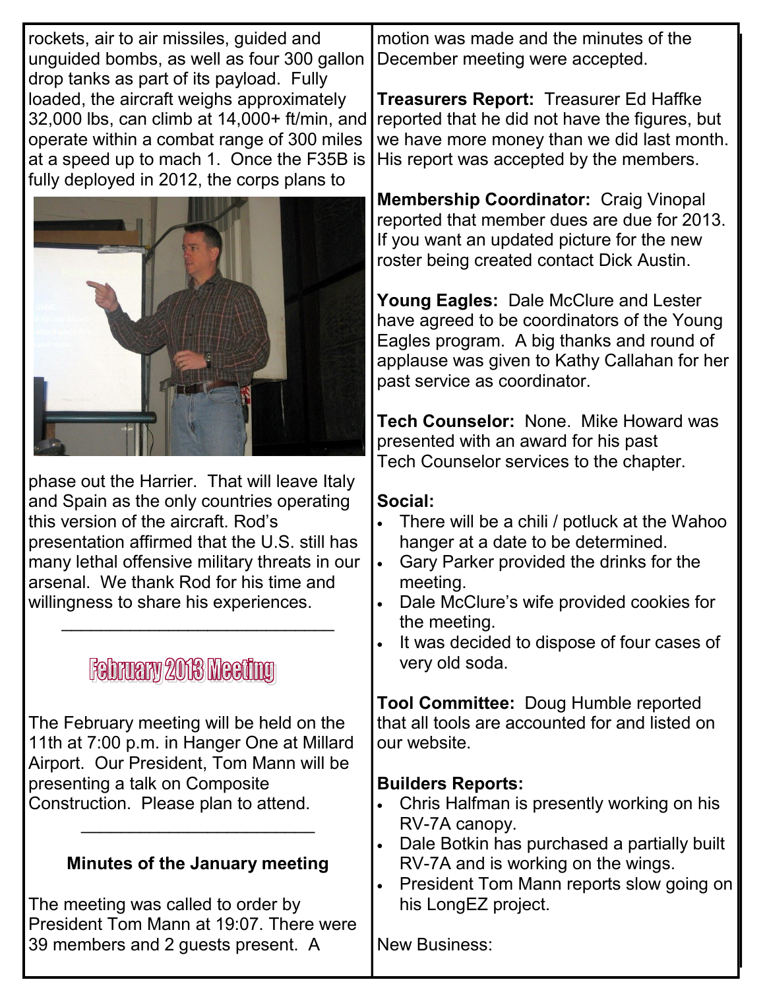rockets, air to air missiles, guided and unguided bombs, as well as four 300 gallon drop tanks as part of its payload. Fully loaded, the aircraft weighs approximately 32,000 lbs, can climb at 14,000+ ft/min, and operate within a combat range of 300 miles at a speed up to mach 1. Once the F35B is fully deployed in 2012, the corps plans to



phase out the Harrier. That will leave Italy and Spain as the only countries operating this version of the aircraft. Rod's presentation affirmed that the U.S. still has many lethal offensive military threats in our arsenal. We thank Rod for his time and willingness to share his experiences.

\_\_\_\_\_\_\_\_\_\_\_\_\_\_\_\_\_\_\_\_\_\_\_\_\_\_\_\_

# **February 2018 Meeting**

The February meeting will be held on the 11th at 7:00 p.m. in Hanger One at Millard Airport. Our President, Tom Mann will be presenting a talk on Composite Construction. Please plan to attend.

### **Minutes of the January meeting**

 $\overline{\phantom{a}}$  , and the set of the set of the set of the set of the set of the set of the set of the set of the set of the set of the set of the set of the set of the set of the set of the set of the set of the set of the s

The meeting was called to order by President Tom Mann at 19:07. There were 39 members and 2 guests present. A

motion was made and the minutes of the December meeting were accepted.

**Treasurers Report:** Treasurer Ed Haffke reported that he did not have the figures, but we have more money than we did last month. His report was accepted by the members.

**Membership Coordinator:** Craig Vinopal reported that member dues are due for 2013. If you want an updated picture for the new roster being created contact Dick Austin.

**Young Eagles:** Dale McClure and Lester have agreed to be coordinators of the Young Eagles program. A big thanks and round of applause was given to Kathy Callahan for her past service as coordinator.

**Tech Counselor:** None. Mike Howard was presented with an award for his past Tech Counselor services to the chapter.

### **Social:**

- There will be a chili / potluck at the Wahoo hanger at a date to be determined.
- Gary Parker provided the drinks for the meeting.
- Dale McClure's wife provided cookies for the meeting.
- It was decided to dispose of four cases of very old soda.

**Tool Committee:** Doug Humble reported that all tools are accounted for and listed on our website.

### **Builders Reports:**

- Chris Halfman is presently working on his RV-7A canopy.
- Dale Botkin has purchased a partially built RV-7A and is working on the wings.
- President Tom Mann reports slow going on his LongEZ project.

New Business: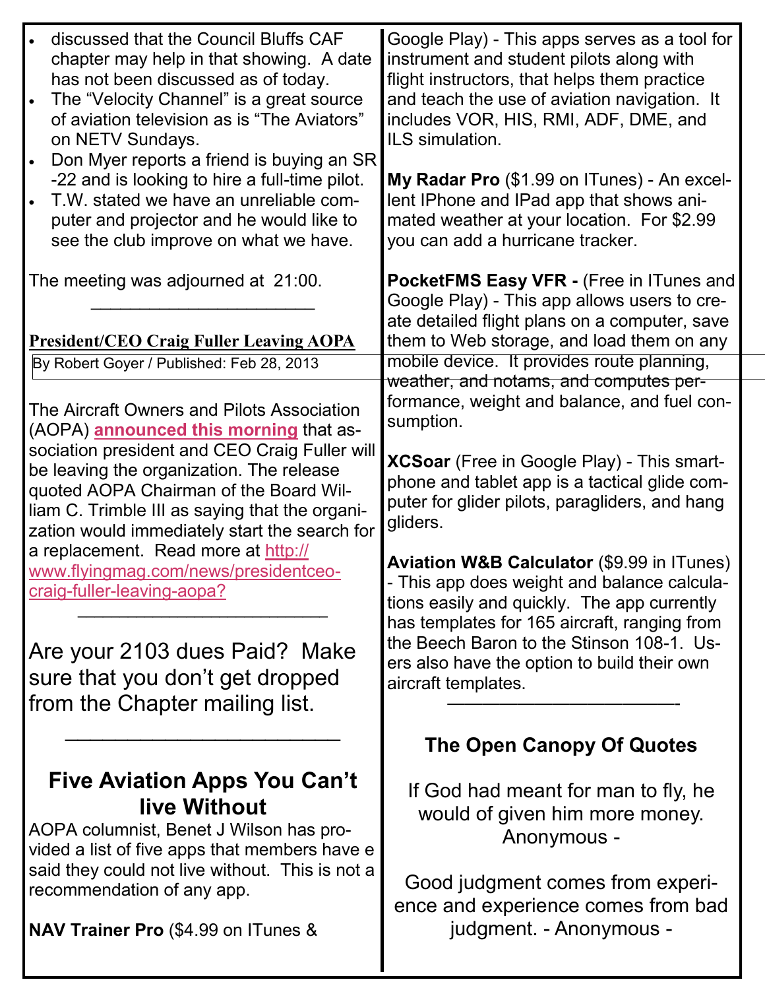| discussed that the Council Bluffs CAF<br>chapter may help in that showing. A date<br>has not been discussed as of today.<br>The "Velocity Channel" is a great source<br>of aviation television as is "The Aviators"<br>on NETV Sundays.<br>Don Myer reports a friend is buying an SR<br>-22 and is looking to hire a full-time pilot.<br>T.W. stated we have an unreliable com-<br>puter and projector and he would like to<br>see the club improve on what we have.                                                                                                                                  | Google Play) - This apps serves as a tool for<br>instrument and student pilots along with<br>flight instructors, that helps them practice<br>and teach the use of aviation navigation. It<br>includes VOR, HIS, RMI, ADF, DME, and<br>ILS simulation.<br>My Radar Pro (\$1.99 on ITunes) - An excel-<br>lent IPhone and IPad app that shows ani-<br>mated weather at your location. For \$2.99<br>you can add a hurricane tracker.                                                                                                                                                                                                    |
|-------------------------------------------------------------------------------------------------------------------------------------------------------------------------------------------------------------------------------------------------------------------------------------------------------------------------------------------------------------------------------------------------------------------------------------------------------------------------------------------------------------------------------------------------------------------------------------------------------|---------------------------------------------------------------------------------------------------------------------------------------------------------------------------------------------------------------------------------------------------------------------------------------------------------------------------------------------------------------------------------------------------------------------------------------------------------------------------------------------------------------------------------------------------------------------------------------------------------------------------------------|
| The meeting was adjourned at 21:00.<br><b>President/CEO Craig Fuller Leaving AOPA</b>                                                                                                                                                                                                                                                                                                                                                                                                                                                                                                                 | PocketFMS Easy VFR - (Free in ITunes and<br>Google Play) - This app allows users to cre-<br>ate detailed flight plans on a computer, save<br>them to Web storage, and load them on any                                                                                                                                                                                                                                                                                                                                                                                                                                                |
| By Robert Goyer / Published: Feb 28, 2013<br>The Aircraft Owners and Pilots Association<br>(AOPA) <b>announced this morning</b> that as-<br>sociation president and CEO Craig Fuller will<br>be leaving the organization. The release<br>quoted AOPA Chairman of the Board Wil-<br>liam C. Trimble III as saying that the organi-<br>zation would immediately start the search for<br>a replacement. Read more at http://<br>www.flyingmag.com/news/presidentceo-<br>craig-fuller-leaving-aopa?<br>Are your 2103 dues Paid? Make<br>sure that you don't get dropped<br>from the Chapter mailing list. | mobile device. It provides route planning,<br>weather, and notams, and computes per-<br>formance, weight and balance, and fuel con-<br>sumption.<br>XCSoar (Free in Google Play) - This smart-<br>phone and tablet app is a tactical glide com-<br>puter for glider pilots, paragliders, and hang<br>gliders.<br><b>Aviation W&amp;B Calculator (\$9.99 in ITunes)</b><br>This app does weight and balance calcula-<br>tions easily and quickly. The app currently<br>has templates for 165 aircraft, ranging from<br>the Beech Baron to the Stinson 108-1. Us-<br>ers also have the option to build their own<br>aircraft templates. |
|                                                                                                                                                                                                                                                                                                                                                                                                                                                                                                                                                                                                       | The Open Canopy Of Quotes                                                                                                                                                                                                                                                                                                                                                                                                                                                                                                                                                                                                             |
| Five Aviation Apps You Can't<br>live Without<br>AOPA columnist, Benet J Wilson has pro-<br>vided a list of five apps that members have e<br>said they could not live without. This is not a<br>recommendation of any app.<br><b>NAV Trainer Pro (\$4.99 on ITunes &amp;</b>                                                                                                                                                                                                                                                                                                                           | If God had meant for man to fly, he<br>would of given him more money.<br>Anonymous -<br>Good judgment comes from experi-<br>ence and experience comes from bad<br>judgment. - Anonymous -                                                                                                                                                                                                                                                                                                                                                                                                                                             |